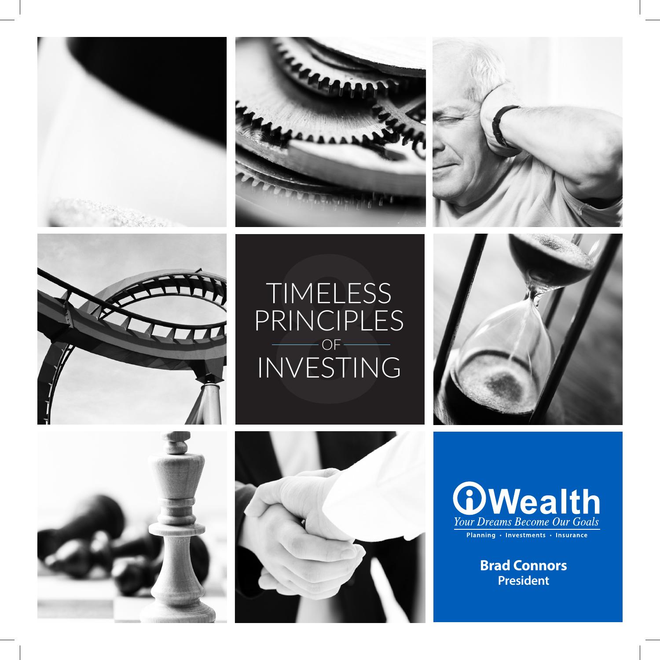







# TIMELESS<br>RINCIPLE<br>VESTINO<br>VESTINO TIMELESS PRINCIPLES INVESTING OF









**Brad Connors President**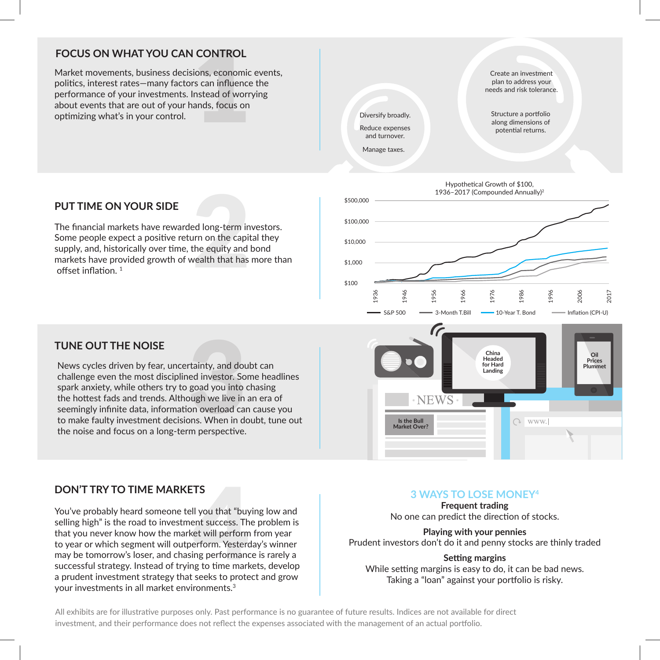#### **FOCUS ON WHAT YOU CAN CONTROL**

**CONTROL**<br>ions, economic<br>s can influence<br>nstead of worr<br>ands, focus on Market movements, business decisions, economic events, politics, interest rates—many factors can influence the performance of your investments. Instead of worrying about events that are out of your hands, focus on optimizing what's in your control.



#### **PUT TIME ON YOUR SIDE**

ed long-term in<br>urn on the capit<br>the equity and<br>vealth that has The financial markets have rewarded long-term investors. Some people expect a positive return on the capital they supply, and, historically over time, the equity and bond markets have provided growth of wealth that has more than offset inflation. <sup>1</sup>



#### **TUNE OUT THE NOISE**

tainty, and dou<br>ed investor. So<br>goad you into<br>ough we live in<br>on overload ca<br>ons. When in do<br>m perspective. News cycles driven by fear, uncertainty, and doubt can challenge even the most disciplined investor. Some headlines spark anxiety, while others try to goad you into chasing the hottest fads and trends. Although we live in an era of seemingly infinite data, information overload can cause you to make faulty investment decisions. When in doubt, tune out the noise and focus on a long-term perspective.

# **China Oil Headed Prices for Hard Plummet Landing**  $\bigcirc$  www. **Is the Bull Market Over?**

#### **DON'T TRY TO TIME MARKETS**

TS<br>II you that "buy<br>ent success. The<br>terform. Yesterding performance<br>ing to time mark<br>seeks to prote You've probably heard someone tell you that "buying low and selling high" is the road to investment success. The problem is that you never know how the market will perform from year to year or which segment will outperform. Yesterday's winner may be tomorrow's loser, and chasing performance is rarely a successful strategy. Instead of trying to time markets, develop a prudent investment strategy that seeks to protect and grow your investments in all market environments.<sup>3</sup>

#### **3 WAYS TO LOSE MONEY4**

**Frequent trading** No one can predict the direction of stocks.

### **Playing with your pennies**

Prudent investors don't do it and penny stocks are thinly traded

#### **Setting margins**

While setting margins is easy to do, it can be bad news. Taking a "loan" against your portfolio is risky.

All exhibits are for illustrative purposes only. Past performance is no guarantee of future results. Indices are not available for direct investment, and their performance does not reflect the expenses associated with the management of an actual portfolio.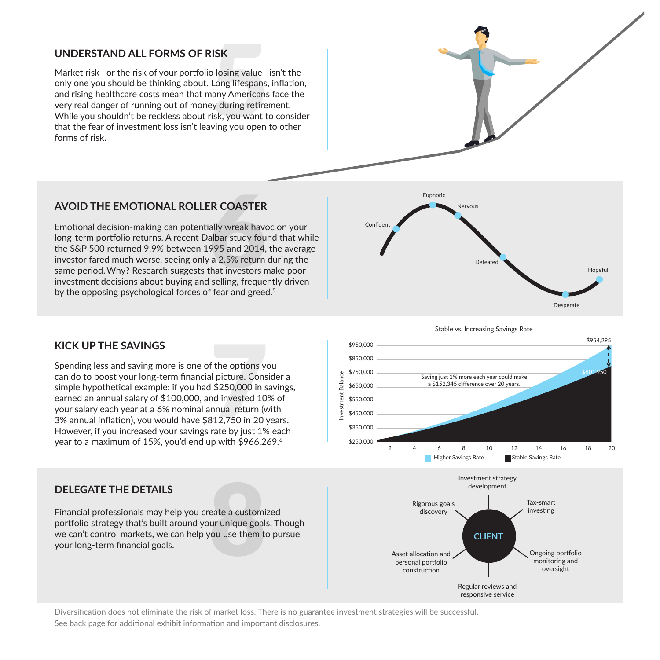#### **UNDERSTAND ALL FORMS OF RISK**

**:ISK**<br>b losing value—<br>Long lifespans,<br>any Americans<br>ey during retire<br>isk, you want t<br>ving you open Market risk—or the risk of your portfolio losing value—isn't the only one you should be thinking about. Long lifespans, inflation, and rising healthcare costs mean that many Americans face the very real danger of running out of money during retirement. While you shouldn't be reckless about risk, you want to consider that the fear of investment loss isn't leaving you open to other forms of risk.



#### **AVOID THE EMOTIONAL ROLLER COASTER**

**ER COASTER**<br>ally wreak have<br>albar study fou<br>995 and 2014,<br>a 2.5% return<br>that investors r<br>selling, freque Emotional decision-making can potentially wreak havoc on your long-term portfolio returns. A recent Dalbar study found that while the S&P 500 returned 9.9% between 1995 and 2014, the average investor fared much worse, seeing only a 2.5% return during the same period.Why? Research suggests that investors make poor investment decisions about buying and selling, frequently driven by the opposing psychological forces of fear and greed.<sup>5</sup>

#### **KICK UP THE SAVINGS**

f the options you<br>I picture. Cons<br>\$250,000 in s<br>And invested 10<br>nnual return (w<br>312,750 in 20 y<br>rate by just 1% Spending less and saving more is one of the options you can do to boost your long-term financial picture. Consider a simple hypothetical example: if you had \$250,000 in savings, earned an annual salary of \$100,000, and invested 10% of your salary each year at a 6% nominal annual return (with 3% annual inflation), you would have \$812,750 in 20 years. However, if you increased your savings rate by just 1% each year to a maximum of 15%, you'd end up with \$966,269.<sup>6</sup>

## **DELEGATE THE DETAILS**

eate a customi<br>ur unique goal<br>vou use them to Financial professionals may help you create a customized portfolio strategy that's built around your unique goals. Though we can't control markets, we can help you use them to pursue your long-term financial goals.



Desperate





Diversification does not eliminate the risk of market loss. There is no guarantee investment strategies will be successful. See back page for additional exhibit information and important disclosures.